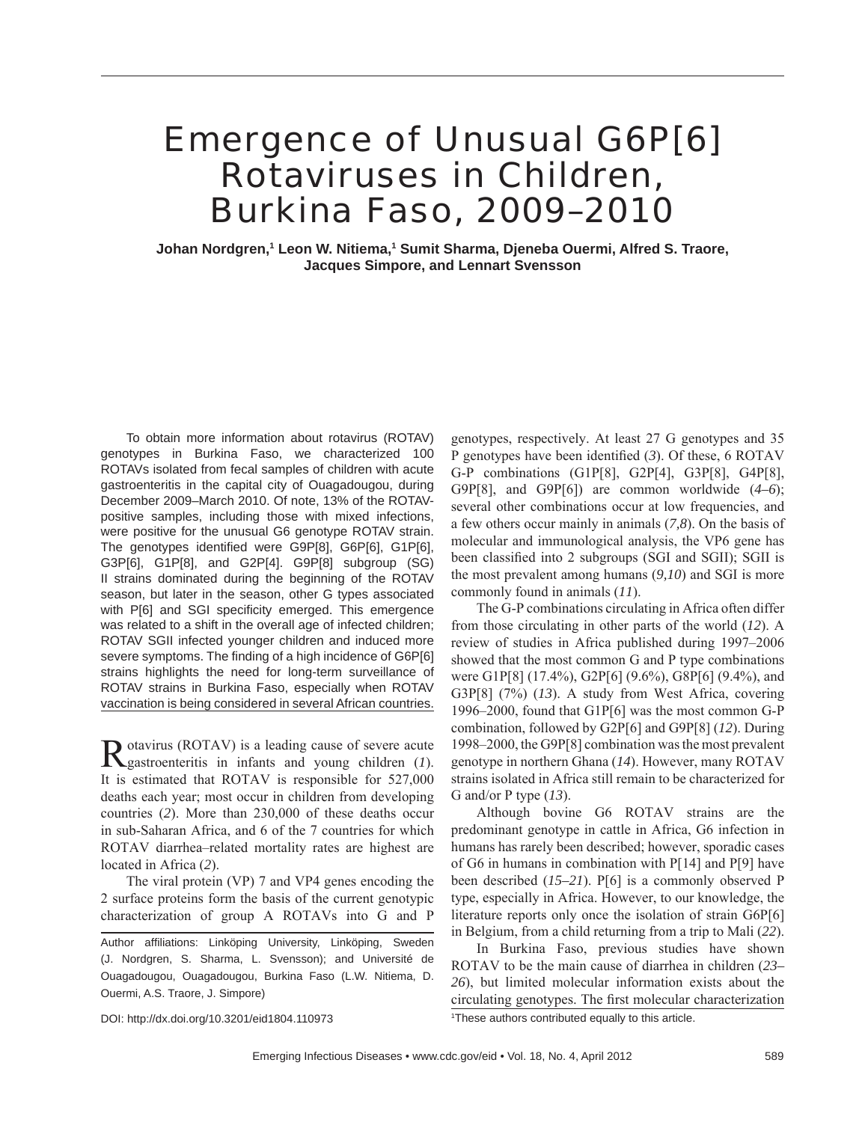# Emergence of Unusual G6P[6] Rotaviruses in Children, Burkina Faso, 2009–2010

**Johan Nordgren,1 Leon W. Nitiema,1 Sumit Sharma, Djeneba Ouermi, Alfred S. Traore, Jacques Simpore, and Lennart Svensson**

To obtain more information about rotavirus (ROTAV) genotypes in Burkina Faso, we characterized 100 ROTAVs isolated from fecal samples of children with acute gastroenteritis in the capital city of Ouagadougou, during December 2009–March 2010. Of note, 13% of the ROTAVpositive samples, including those with mixed infections, were positive for the unusual G6 genotype ROTAV strain. The genotypes identified were G9P[8], G6P[6], G1P[6], G3P[6], G1P[8], and G2P[4]. G9P[8] subgroup (SG) II strains dominated during the beginning of the ROTAV season, but later in the season, other G types associated with P[6] and SGI specificity emerged. This emergence was related to a shift in the overall age of infected children; ROTAV SGII infected younger children and induced more severe symptoms. The finding of a high incidence of G6P[6] strains highlights the need for long-term surveillance of ROTAV strains in Burkina Faso, especially when ROTAV vaccination is being considered in several African countries.

Rotavirus (ROTAV) is a leading cause of severe acute gastroenteritis in infants and young children (*1*). It is estimated that ROTAV is responsible for 527,000 deaths each year; most occur in children from developing countries (*2*). More than 230,000 of these deaths occur in sub-Saharan Africa, and 6 of the 7 countries for which ROTAV diarrhea–related mortality rates are highest are located in Africa (*2*).

The viral protein (VP) 7 and VP4 genes encoding the 2 surface proteins form the basis of the current genotypic characterization of group A ROTAVs into G and P

Author affiliations: Linköping University, Linköping, Sweden (J. Nordgren, S. Sharma, L. Svensson); and Université de Ouagadougou, Ouagadougou, Burkina Faso (L.W. Nitiema, D. Ouermi, A.S. Traore, J. Simpore)

DOI: http://dx.doi.org/10.3201/eid1804.110973 <sup>1</sup>

genotypes, respectively. At least 27 G genotypes and 35 P genotypes have been identified (3). Of these, 6 ROTAV G-P combinations (G1P[8], G2P[4], G3P[8], G4P[8], G9P[8], and G9P[6]) are common worldwide (*4–6*); several other combinations occur at low frequencies, and a few others occur mainly in animals (*7,8*). On the basis of molecular and immunological analysis, the VP6 gene has been classified into 2 subgroups (SGI and SGII); SGII is the most prevalent among humans (*9,10*) and SGI is more commonly found in animals (*11*).

The G-P combinations circulating in Africa often differ from those circulating in other parts of the world (*12*). A review of studies in Africa published during 1997–2006 showed that the most common G and P type combinations were G1P[8] (17.4%), G2P[6] (9.6%), G8P[6] (9.4%), and G3P[8] (7%) (*13*). A study from West Africa, covering 1996–2000, found that G1P[6] was the most common G-P combination, followed by G2P[6] and G9P[8] (*12*). During 1998–2000, the G9P[8] combination was the most prevalent genotype in northern Ghana (*14*). However, many ROTAV strains isolated in Africa still remain to be characterized for G and/or P type (*13*).

Although bovine G6 ROTAV strains are the predominant genotype in cattle in Africa, G6 infection in humans has rarely been described; however, sporadic cases of G6 in humans in combination with P[14] and P[9] have been described (*15–21*). P[6] is a commonly observed P type, especially in Africa. However, to our knowledge, the literature reports only once the isolation of strain G6P[6] in Belgium, from a child returning from a trip to Mali (*22*).

In Burkina Faso, previous studies have shown ROTAV to be the main cause of diarrhea in children (*23– 26*), but limited molecular information exists about the circulating genotypes. The first molecular characterization

<sup>1</sup>These authors contributed equally to this article.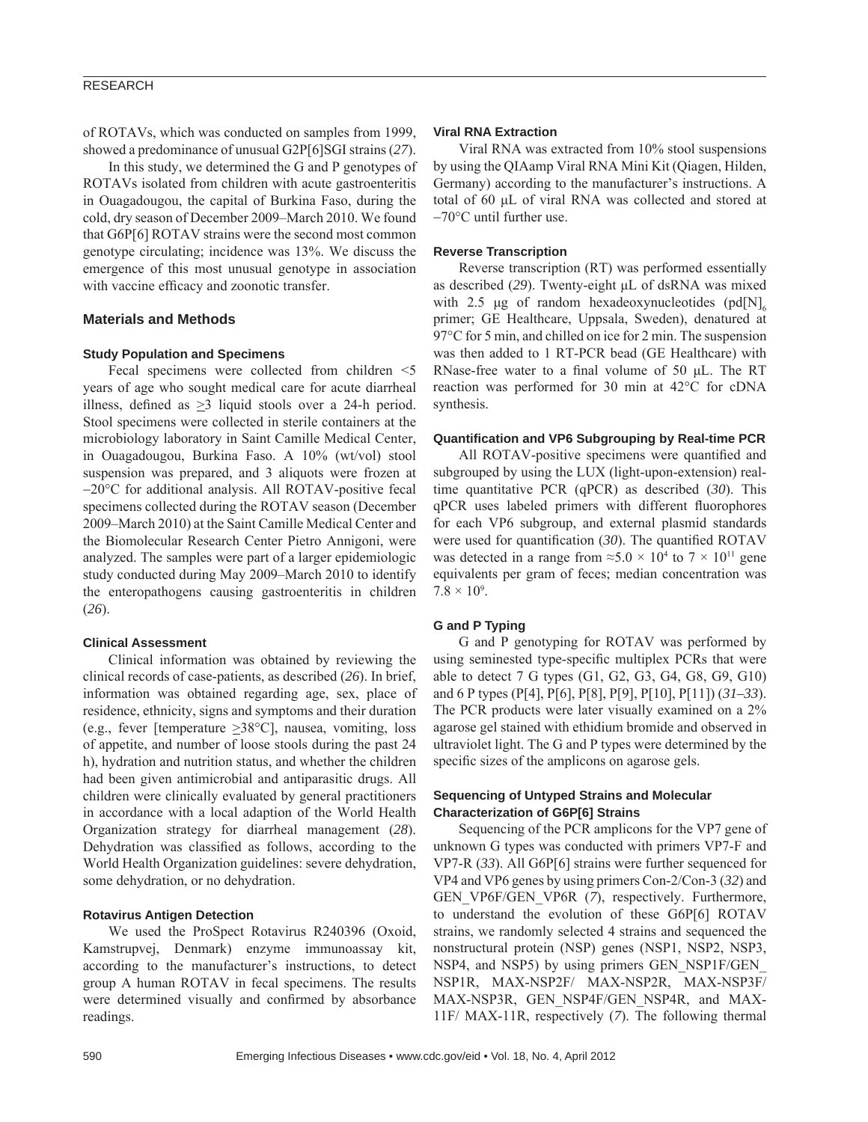of ROTAVs, which was conducted on samples from 1999, showed a predominance of unusual G2P[6]SGI strains (*27*).

In this study, we determined the G and P genotypes of ROTAVs isolated from children with acute gastroenteritis in Ouagadougou, the capital of Burkina Faso, during the cold, dry season of December 2009–March 2010. We found that G6P[6] ROTAV strains were the second most common genotype circulating; incidence was 13%. We discuss the emergence of this most unusual genotype in association with vaccine efficacy and zoonotic transfer.

#### **Materials and Methods**

#### **Study Population and Specimens**

Fecal specimens were collected from children  $\leq$ years of age who sought medical care for acute diarrheal illness, defined as  $\geq$ 3 liquid stools over a 24-h period. Stool specimens were collected in sterile containers at the microbiology laboratory in Saint Camille Medical Center, in Ouagadougou, Burkina Faso. A 10% (wt/vol) stool suspension was prepared, and 3 aliquots were frozen at −20°C for additional analysis. All ROTAV-positive fecal specimens collected during the ROTAV season (December 2009–March 2010) at the Saint Camille Medical Center and the Biomolecular Research Center Pietro Annigoni, were analyzed. The samples were part of a larger epidemiologic study conducted during May 2009–March 2010 to identify the enteropathogens causing gastroenteritis in children (*26*).

#### **Clinical Assessment**

Clinical information was obtained by reviewing the clinical records of case-patients, as described (*26*). In brief, information was obtained regarding age, sex, place of residence, ethnicity, signs and symptoms and their duration (e.g., fever [temperature  $\geq$ 38°C], nausea, vomiting, loss of appetite, and number of loose stools during the past 24 h), hydration and nutrition status, and whether the children had been given antimicrobial and antiparasitic drugs. All children were clinically evaluated by general practitioners in accordance with a local adaption of the World Health Organization strategy for diarrheal management (*28*). Dehydration was classified as follows, according to the World Health Organization guidelines: severe dehydration, some dehydration, or no dehydration.

#### **Rotavirus Antigen Detection**

We used the ProSpect Rotavirus R240396 (Oxoid, Kamstrupvej, Denmark) enzyme immunoassay kit, according to the manufacturer's instructions, to detect group A human ROTAV in fecal specimens. The results were determined visually and confirmed by absorbance readings.

### **Viral RNA Extraction**

Viral RNA was extracted from 10% stool suspensions by using the QIAamp Viral RNA Mini Kit (Qiagen, Hilden, Germany) according to the manufacturer's instructions. A total of 60 μL of viral RNA was collected and stored at −70°C until further use.

#### **Reverse Transcription**

Reverse transcription (RT) was performed essentially as described (*29*). Twenty-eight μL of dsRNA was mixed with 2.5 μg of random hexadeoxynucleotides  $\left[\text{pd}[\text{N}]\right]_6$ primer; GE Healthcare, Uppsala, Sweden), denatured at 97<sup>o</sup>C for 5 min, and chilled on ice for 2 min. The suspension was then added to 1 RT-PCR bead (GE Healthcare) with RNase-free water to a final volume of 50  $\mu$ L. The RT reaction was performed for 30 min at 42°C for cDNA synthesis.

#### **Quantifi cation and VP6 Subgrouping by Real-time PCR**

All ROTAV-positive specimens were quantified and subgrouped by using the LUX (light-upon-extension) realtime quantitative PCR (qPCR) as described (*30*). This qPCR uses labeled primers with different fluorophores for each VP6 subgroup, and external plasmid standards were used for quantification (30). The quantified ROTAV was detected in a range from  $\approx 5.0 \times 10^4$  to  $7 \times 10^{11}$  gene equivalents per gram of feces; median concentration was  $7.8 \times 10^{9}$ .

#### **G and P Typing**

G and P genotyping for ROTAV was performed by using seminested type-specific multiplex PCRs that were able to detect 7 G types (G1, G2, G3, G4, G8, G9, G10) and 6 P types (P[4], P[6], P[8], P[9], P[10], P[11]) (*31–33*). The PCR products were later visually examined on a 2% agarose gel stained with ethidium bromide and observed in ultraviolet light. The G and P types were determined by the specific sizes of the amplicons on agarose gels.

#### **Sequencing of Untyped Strains and Molecular Characterization of G6P[6] Strains**

Sequencing of the PCR amplicons for the VP7 gene of unknown G types was conducted with primers VP7-F and VP7-R (*33*). All G6P[6] strains were further sequenced for VP4 and VP6 genes by using primers Con-2/Con-3 (*32*) and GEN\_VP6F/GEN\_VP6R (*7*), respectively. Furthermore, to understand the evolution of these G6P[6] ROTAV strains, we randomly selected 4 strains and sequenced the nonstructural protein (NSP) genes (NSP1, NSP2, NSP3, NSP4, and NSP5) by using primers GEN\_NSP1F/GEN NSP1R, MAX-NSP2F/ MAX-NSP2R, MAX-NSP3F/ MAX-NSP3R, GEN\_NSP4F/GEN\_NSP4R, and MAX-11F/ MAX-11R, respectively (*7*). The following thermal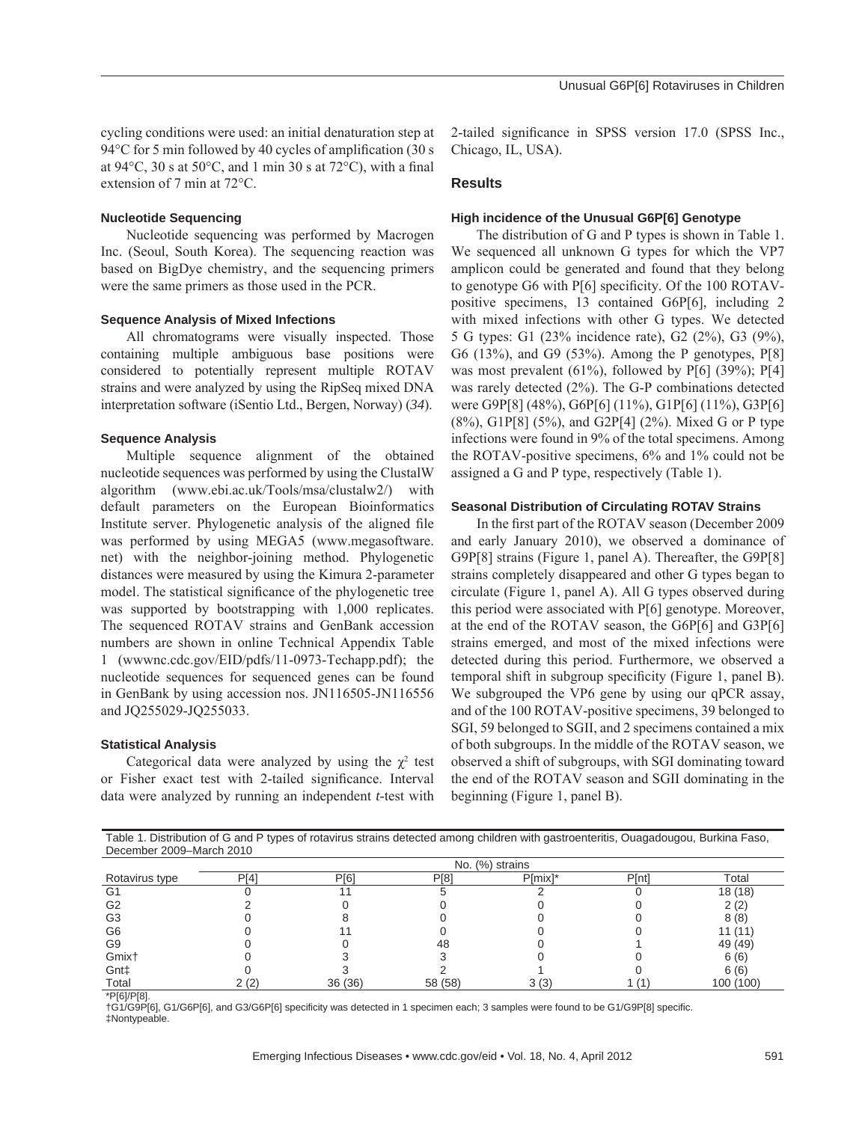#### **Nucleotide Sequencing**

Nucleotide sequencing was performed by Macrogen Inc. (Seoul, South Korea). The sequencing reaction was based on BigDye chemistry, and the sequencing primers were the same primers as those used in the PCR.

#### **Sequence Analysis of Mixed Infections**

All chromatograms were visually inspected. Those containing multiple ambiguous base positions were considered to potentially represent multiple ROTAV strains and were analyzed by using the RipSeq mixed DNA interpretation software (iSentio Ltd., Bergen, Norway) (*34*).

#### **Sequence Analysis**

Multiple sequence alignment of the obtained nucleotide sequences was performed by using the ClustalW algorithm (www.ebi.ac.uk/Tools/msa/clustalw2/) with default parameters on the European Bioinformatics Institute server. Phylogenetic analysis of the aligned file was performed by using MEGA5 (www.megasoftware. net) with the neighbor-joining method. Phylogenetic distances were measured by using the Kimura 2-parameter model. The statistical significance of the phylogenetic tree was supported by bootstrapping with 1,000 replicates. The sequenced ROTAV strains and GenBank accession numbers are shown in online Technical Appendix Table 1 (wwwnc.cdc.gov/EID/pdfs/11-0973-Techapp.pdf); the nucleotide sequences for sequenced genes can be found in GenBank by using accession nos. JN116505-JN116556 and JQ255029-JQ255033.

#### **Statistical Analysis**

Categorical data were analyzed by using the  $\chi^2$  test or Fisher exact test with 2-tailed significance. Interval data were analyzed by running an independent *t*-test with

2-tailed significance in SPSS version 17.0 (SPSS Inc., Chicago, IL, USA).

#### **Results**

#### **High incidence of the Unusual G6P[6] Genotype**

The distribution of G and P types is shown in Table 1. We sequenced all unknown G types for which the VP7 amplicon could be generated and found that they belong to genotype G6 with  $P[6]$  specificity. Of the 100 ROTAVpositive specimens, 13 contained G6P[6], including 2 with mixed infections with other G types. We detected 5 G types: G1 (23% incidence rate), G2 (2%), G3 (9%), G6 (13%), and G9 (53%). Among the P genotypes, P[8] was most prevalent  $(61\%)$ , followed by P[6]  $(39\%)$ ; P[4] was rarely detected (2%). The G-P combinations detected were G9P[8] (48%), G6P[6] (11%), G1P[6] (11%), G3P[6] (8%), G1P[8] (5%), and G2P[4] (2%). Mixed G or P type infections were found in 9% of the total specimens. Among the ROTAV-positive specimens, 6% and 1% could not be assigned a G and P type, respectively (Table 1).

#### **Seasonal Distribution of Circulating ROTAV Strains**

In the first part of the ROTAV season (December 2009 and early January 2010), we observed a dominance of G9P[8] strains (Figure 1, panel A). Thereafter, the G9P[8] strains completely disappeared and other G types began to circulate (Figure 1, panel A). All G types observed during this period were associated with P[6] genotype. Moreover, at the end of the ROTAV season, the G6P[6] and G3P[6] strains emerged, and most of the mixed infections were detected during this period. Furthermore, we observed a temporal shift in subgroup specificity (Figure 1, panel B). We subgrouped the VP6 gene by using our qPCR assay, and of the 100 ROTAV-positive specimens, 39 belonged to SGI, 59 belonged to SGII, and 2 specimens contained a mix of both subgroups. In the middle of the ROTAV season, we observed a shift of subgroups, with SGI dominating toward the end of the ROTAV season and SGII dominating in the beginning (Figure 1, panel B).

| Table 1. Distribution of G and P types of rotavirus strains detected among children with gastroenteritis, Ouagadougou, Burkina Faso, |  |
|--------------------------------------------------------------------------------------------------------------------------------------|--|
| December 2009–March 2010                                                                                                             |  |
| $N = \{0, 1, 2, \ldots, n\}$                                                                                                         |  |

|                   | No. (%) strains |             |         |            |       |           |  |
|-------------------|-----------------|-------------|---------|------------|-------|-----------|--|
| Rotavirus type    | P[4]            | <b>P[6]</b> | P[8]    | $P[mix]$ * | P[nt] | Total     |  |
| G1                |                 |             |         |            |       | 18 (18)   |  |
| G <sub>2</sub>    |                 |             |         |            |       | 2 (2)     |  |
| G <sub>3</sub>    |                 |             |         |            |       | 8(8)      |  |
| G <sub>6</sub>    |                 |             |         |            |       | 11 (11    |  |
| G9                |                 |             | 48      |            |       | 49 (49)   |  |
| Gmix <sup>+</sup> |                 |             |         |            |       | 6(6)      |  |
| Gnt‡              |                 |             |         |            |       | 6(6)      |  |
| Total             | 2(2)            | 36 (36)     | 58 (58) | 3(3)       |       | 100 (100) |  |

\*P[6]/P[8].

†G1/G9P[6], G1/G6P[6], and G3/G6P[6] specificity was detected in 1 specimen each; 3 samples were found to be G1/G9P[8] specific. ‡Nontypeable.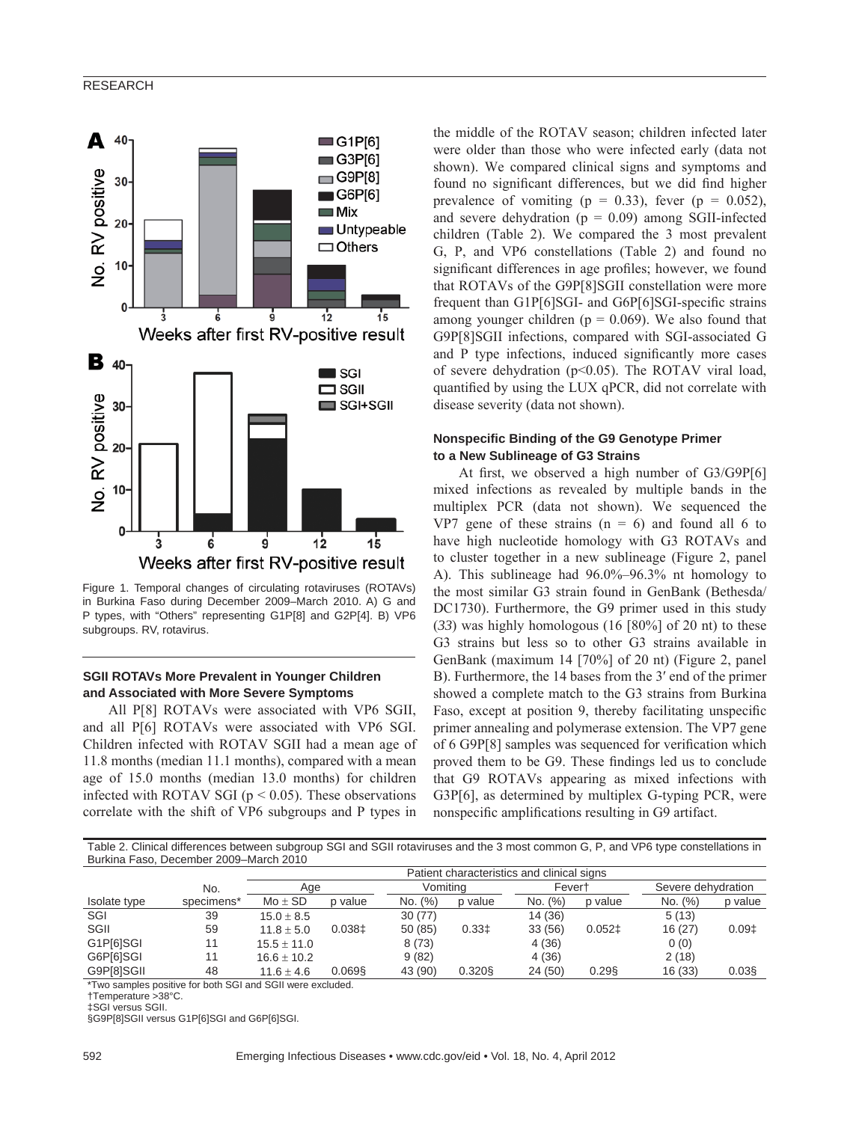

Figure 1. Temporal changes of circulating rotaviruses (ROTAVs) in Burkina Faso during December 2009–March 2010. A) G and P types, with "Others" representing G1P[8] and G2P[4]. B) VP6 subgroups. RV, rotavirus.

# **SGII ROTAVs More Prevalent in Younger Children and Associated with More Severe Symptoms**

All P[8] ROTAVs were associated with VP6 SGII, and all P[6] ROTAVs were associated with VP6 SGI. Children infected with ROTAV SGII had a mean age of 11.8 months (median 11.1 months), compared with a mean age of 15.0 months (median 13.0 months) for children infected with ROTAV SGI ( $p < 0.05$ ). These observations correlate with the shift of VP6 subgroups and P types in the middle of the ROTAV season; children infected later were older than those who were infected early (data not shown). We compared clinical signs and symptoms and found no significant differences, but we did find higher prevalence of vomiting ( $p = 0.33$ ), fever ( $p = 0.052$ ), and severe dehydration  $(p = 0.09)$  among SGII-infected children (Table 2). We compared the 3 most prevalent G, P, and VP6 constellations (Table 2) and found no significant differences in age profiles; however, we found that ROTAVs of the G9P[8]SGII constellation were more frequent than G1P[6]SGI- and G6P[6]SGI-specific strains among younger children ( $p = 0.069$ ). We also found that G9P[8]SGII infections, compared with SGI-associated G and P type infections, induced significantly more cases of severe dehydration ( $p<0.05$ ). The ROTAV viral load, quantified by using the LUX qPCR, did not correlate with disease severity (data not shown).

#### **Nonspecifi c Binding of the G9 Genotype Primer to a New Sublineage of G3 Strains**

At first, we observed a high number of  $G3/G9P[6]$ mixed infections as revealed by multiple bands in the multiplex PCR (data not shown). We sequenced the VP7 gene of these strains  $(n = 6)$  and found all 6 to have high nucleotide homology with G3 ROTAVs and to cluster together in a new sublineage (Figure 2, panel A). This sublineage had 96.0%–96.3% nt homology to the most similar G3 strain found in GenBank (Bethesda/ DC1730). Furthermore, the G9 primer used in this study (*33*) was highly homologous (16 [80%] of 20 nt) to these G3 strains but less so to other G3 strains available in GenBank (maximum 14 [70%] of 20 nt) (Figure 2, panel B). Furthermore, the 14 bases from the 3′ end of the primer showed a complete match to the G3 strains from Burkina Faso, except at position 9, thereby facilitating unspecific primer annealing and polymerase extension. The VP7 gene of 6 G9P[8] samples was sequenced for verification which proved them to be G9. These findings led us to conclude that G9 ROTAVs appearing as mixed infections with G3P[6], as determined by multiplex G-typing PCR, were nonspecific amplifications resulting in G9 artifact.

Table 2. Clinical differences between subgroup SGI and SGII rotaviruses and the 3 most common G, P, and VP6 type constellations in Burkina Faso, December 2009–March 2010

|              |                        | Patient characteristics and clinical signs |          |          |           |         |          |                    |                   |  |
|--------------|------------------------|--------------------------------------------|----------|----------|-----------|---------|----------|--------------------|-------------------|--|
|              | No.                    | Age                                        |          | Vomitina |           | Fevert  |          | Severe dehydration |                   |  |
| Isolate type | specimens <sup>*</sup> | $Mo \pm SD$                                | p value  | No. (%)  | p value   | No. (%) | p value  | No. (%)            | p value           |  |
| SGI          | 39                     | $15.0 \pm 8.5$                             |          | 30 (77)  |           | 14 (36) |          | 5(13)              |                   |  |
| SGII         | 59                     | $11.8 + 5.0$                               | $0.038+$ | 50 (85)  | 0.331     | 33 (56) | $0.052+$ | 16(27)             | 0.09 <sup>†</sup> |  |
| G1P[6]SGI    | 11                     | $15.5 + 11.0$                              |          | 8(73)    |           | 4(36)   |          | 0(0)               |                   |  |
| G6P[6]SGI    | 11                     | $16.6 + 10.2$                              |          | 9(82)    |           | 4(36)   |          | 2(18)              |                   |  |
| G9P[8]SGII   | 48                     | $11.6 \pm 4.6$                             | 0.069    | 43 (90)  | $0.320$ § | 24 (50) | $0.29$ § | 16 (33)            | $0.03$ §          |  |

\*Two samples positive for both SGI and SGII were excluded.

†Temperature >38°C.

‡SGI versus SGII.

§G9P[8]SGII versus G1P[6]SGI and G6P[6]SGI.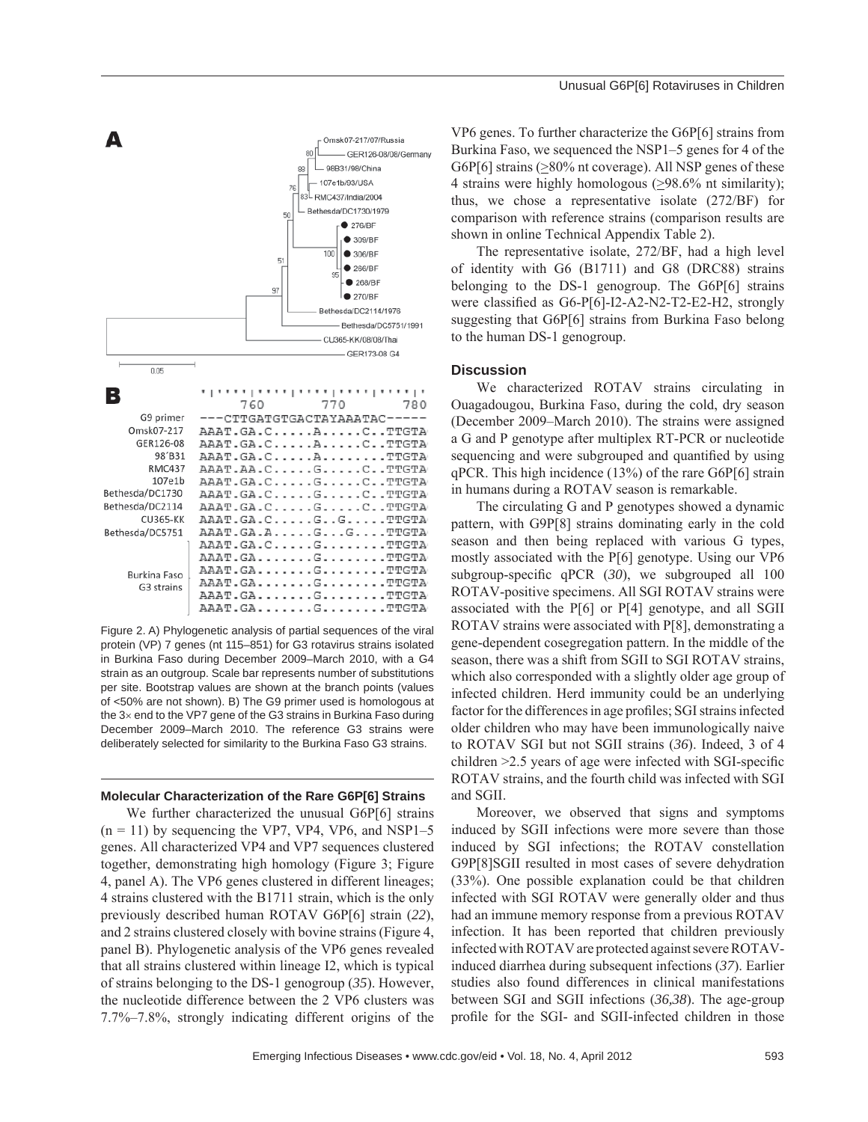

Figure 2. A) Phylogenetic analysis of partial sequences of the viral protein (VP) 7 genes (nt 115–851) for G3 rotavirus strains isolated in Burkina Faso during December 2009–March 2010, with a G4 strain as an outgroup. Scale bar represents number of substitutions per site. Bootstrap values are shown at the branch points (values of <50% are not shown). B) The G9 primer used is homologous at the 3× end to the VP7 gene of the G3 strains in Burkina Faso during December 2009–March 2010. The reference G3 strains were deliberately selected for similarity to the Burkina Faso G3 strains.

#### **Molecular Characterization of the Rare G6P[6] Strains**

We further characterized the unusual G6P[6] strains  $(n = 11)$  by sequencing the VP7, VP4, VP6, and NSP1-5 genes. All characterized VP4 and VP7 sequences clustered together, demonstrating high homology (Figure 3; Figure 4, panel A). The VP6 genes clustered in different lineages; 4 strains clustered with the B1711 strain, which is the only previously described human ROTAV G6P[6] strain (*22*), and 2 strains clustered closely with bovine strains (Figure 4, panel B). Phylogenetic analysis of the VP6 genes revealed that all strains clustered within lineage I2, which is typical of strains belonging to the DS-1 genogroup (*35*). However, the nucleotide difference between the 2 VP6 clusters was 7.7%–7.8%, strongly indicating different origins of the

VP6 genes. To further characterize the G6P[6] strains from Burkina Faso, we sequenced the NSP1–5 genes for 4 of the G6P[6] strains (>80% nt coverage). All NSP genes of these 4 strains were highly homologous  $(≥98.6%$  nt similarity); thus, we chose a representative isolate (272/BF) for comparison with reference strains (comparison results are shown in online Technical Appendix Table 2).

The representative isolate, 272/BF, had a high level of identity with G6 (B1711) and G8 (DRC88) strains belonging to the DS-1 genogroup. The G6P[6] strains were classified as  $G6-P[6]-I2-A2-N2-T2-E2-H2$ , strongly suggesting that G6P[6] strains from Burkina Faso belong to the human DS-1 genogroup.

#### **Discussion**

We characterized ROTAV strains circulating in Ouagadougou, Burkina Faso, during the cold, dry season (December 2009–March 2010). The strains were assigned a G and P genotype after multiplex RT-PCR or nucleotide sequencing and were subgrouped and quantified by using qPCR. This high incidence (13%) of the rare G6P[6] strain in humans during a ROTAV season is remarkable.

The circulating G and P genotypes showed a dynamic pattern, with G9P[8] strains dominating early in the cold season and then being replaced with various G types, mostly associated with the P[6] genotype. Using our VP6 subgroup-specific qPCR (30), we subgrouped all 100 ROTAV-positive specimens. All SGI ROTAV strains were associated with the P[6] or P[4] genotype, and all SGII ROTAV strains were associated with P[8], demonstrating a gene-dependent cosegregation pattern. In the middle of the season, there was a shift from SGII to SGI ROTAV strains, which also corresponded with a slightly older age group of infected children. Herd immunity could be an underlying factor for the differences in age profiles; SGI strains infected older children who may have been immunologically naive to ROTAV SGI but not SGII strains (*36*). Indeed, 3 of 4 children  $\geq$  2.5 years of age were infected with SGI-specific ROTAV strains, and the fourth child was infected with SGI and SGII.

Moreover, we observed that signs and symptoms induced by SGII infections were more severe than those induced by SGI infections; the ROTAV constellation G9P[8]SGII resulted in most cases of severe dehydration (33%). One possible explanation could be that children infected with SGI ROTAV were generally older and thus had an immune memory response from a previous ROTAV infection. It has been reported that children previously infected with ROTAV are protected against severe ROTAVinduced diarrhea during subsequent infections (*37*). Earlier studies also found differences in clinical manifestations between SGI and SGII infections (*36,38*). The age-group profile for the SGI- and SGII-infected children in those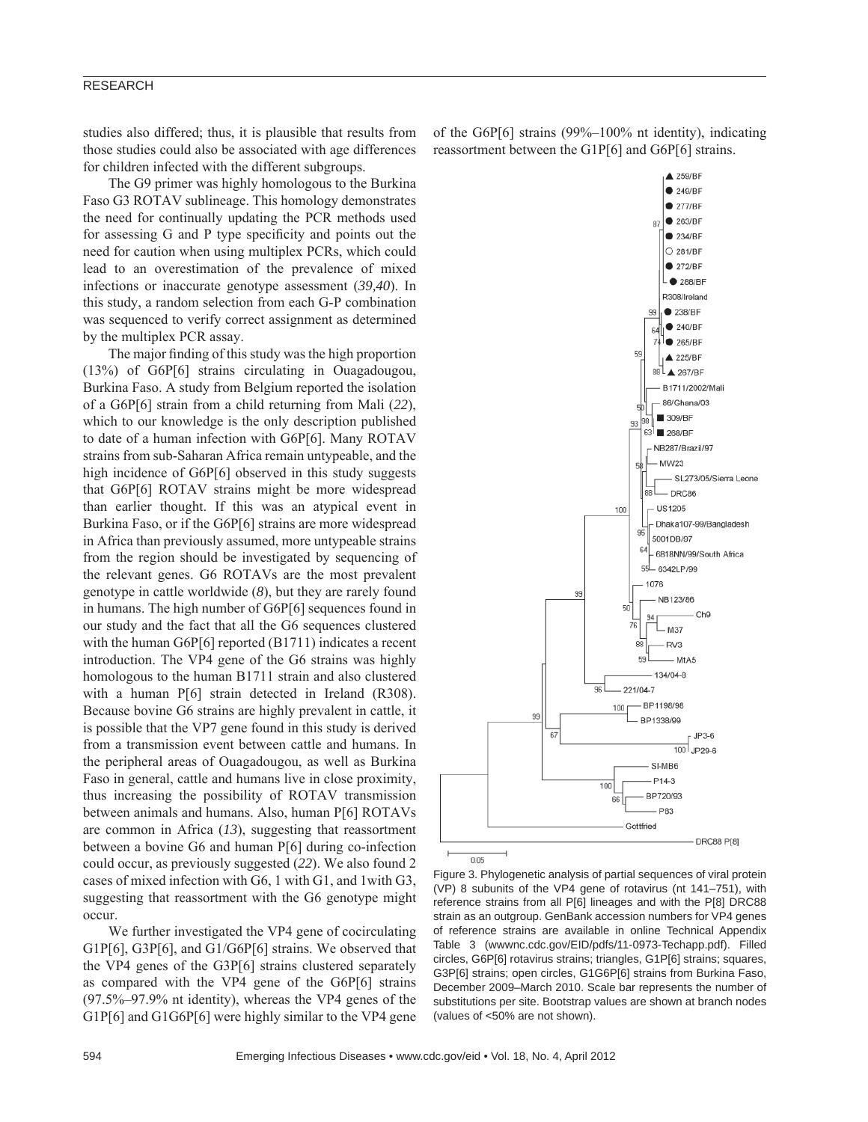studies also differed; thus, it is plausible that results from those studies could also be associated with age differences for children infected with the different subgroups.

The G9 primer was highly homologous to the Burkina Faso G3 ROTAV sublineage. This homology demonstrates the need for continually updating the PCR methods used for assessing G and P type specificity and points out the need for caution when using multiplex PCRs, which could lead to an overestimation of the prevalence of mixed infections or inaccurate genotype assessment (*39,40*). In this study, a random selection from each G-P combination was sequenced to verify correct assignment as determined by the multiplex PCR assay.

The major finding of this study was the high proportion (13%) of G6P[6] strains circulating in Ouagadougou, Burkina Faso. A study from Belgium reported the isolation of a G6P[6] strain from a child returning from Mali (*22*), which to our knowledge is the only description published to date of a human infection with G6P[6]. Many ROTAV strains from sub-Saharan Africa remain untypeable, and the high incidence of G6P[6] observed in this study suggests that G6P[6] ROTAV strains might be more widespread than earlier thought. If this was an atypical event in Burkina Faso, or if the G6P[6] strains are more widespread in Africa than previously assumed, more untypeable strains from the region should be investigated by sequencing of the relevant genes. G6 ROTAVs are the most prevalent genotype in cattle worldwide (*8*), but they are rarely found in humans. The high number of G6P[6] sequences found in our study and the fact that all the G6 sequences clustered with the human G6P[6] reported (B1711) indicates a recent introduction. The VP4 gene of the G6 strains was highly homologous to the human B1711 strain and also clustered with a human P[6] strain detected in Ireland (R308). Because bovine G6 strains are highly prevalent in cattle, it is possible that the VP7 gene found in this study is derived from a transmission event between cattle and humans. In the peripheral areas of Ouagadougou, as well as Burkina Faso in general, cattle and humans live in close proximity, thus increasing the possibility of ROTAV transmission between animals and humans. Also, human P[6] ROTAVs are common in Africa (*13*), suggesting that reassortment between a bovine G6 and human P[6] during co-infection could occur, as previously suggested (*22*). We also found 2 cases of mixed infection with G6, 1 with G1, and 1with G3, suggesting that reassortment with the G6 genotype might occur.

We further investigated the VP4 gene of cocirculating G1P[6], G3P[6], and G1/G6P[6] strains. We observed that the VP4 genes of the G3P[6] strains clustered separately as compared with the VP4 gene of the G6P[6] strains (97.5%–97.9% nt identity), whereas the VP4 genes of the G1P[6] and G1G6P[6] were highly similar to the VP4 gene

of the G6P[6] strains (99%–100% nt identity), indicating reassortment between the G1P[6] and G6P[6] strains.



Figure 3. Phylogenetic analysis of partial sequences of viral protein (VP) 8 subunits of the VP4 gene of rotavirus (nt 141–751), with reference strains from all P[6] lineages and with the P[8] DRC88 strain as an outgroup. GenBank accession numbers for VP4 genes of reference strains are available in online Technical Appendix Table 3 (wwwnc.cdc.gov/EID/pdfs/11-0973-Techapp.pdf). Filled circles, G6P[6] rotavirus strains; triangles, G1P[6] strains; squares, G3P[6] strains; open circles, G1G6P[6] strains from Burkina Faso, December 2009–March 2010. Scale bar represents the number of substitutions per site. Bootstrap values are shown at branch nodes (values of <50% are not shown).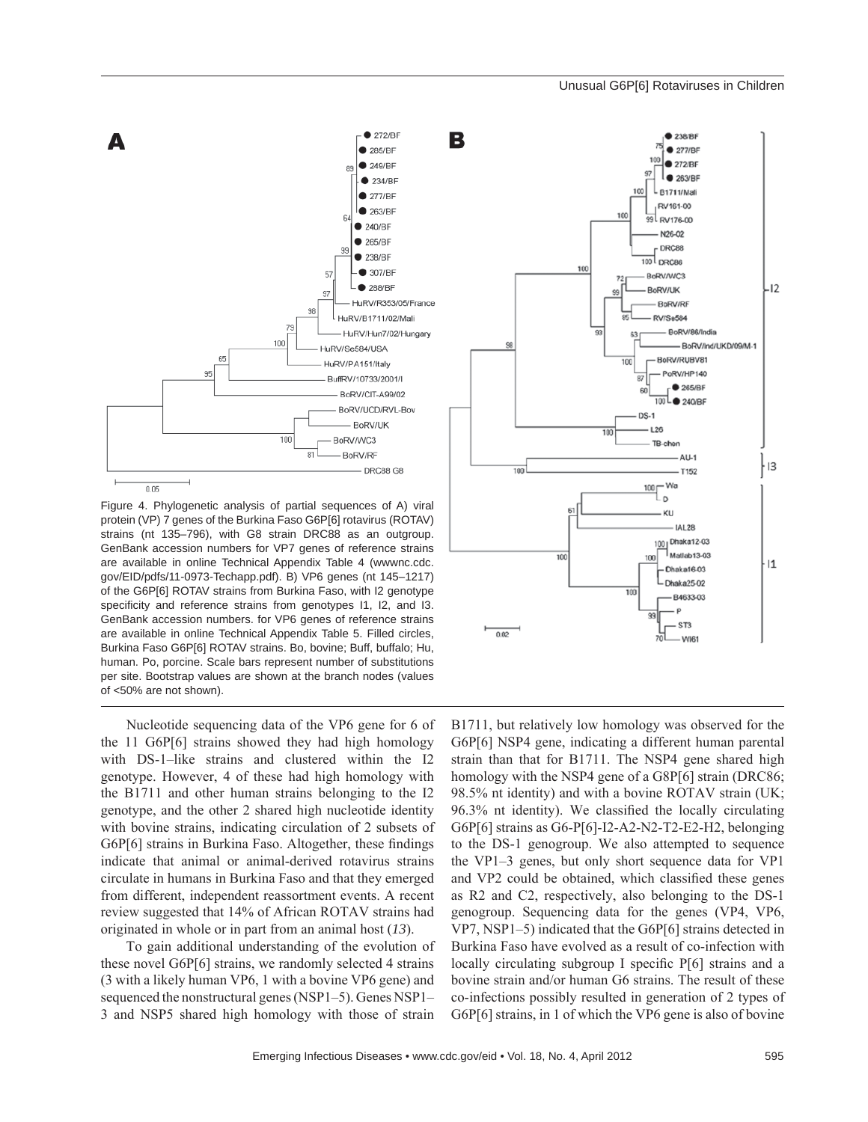

Figure 4. Phylogenetic analysis of partial sequences of A) viral protein (VP) 7 genes of the Burkina Faso G6P[6] rotavirus (ROTAV) strains (nt 135–796), with G8 strain DRC88 as an outgroup. GenBank accession numbers for VP7 genes of reference strains are available in online Technical Appendix Table 4 (wwwnc.cdc. gov/EID/pdfs/11-0973-Techapp.pdf). B) VP6 genes (nt 145–1217) of the G6P[6] ROTAV strains from Burkina Faso, with I2 genotype specificity and reference strains from genotypes I1, I2, and I3. GenBank accession numbers. for VP6 genes of reference strains are available in online Technical Appendix Table 5. Filled circles, Burkina Faso G6P[6] ROTAV strains. Bo, bovine; Buff, buffalo; Hu, human. Po, porcine. Scale bars represent number of substitutions per site. Bootstrap values are shown at the branch nodes (values of <50% are not shown).

Nucleotide sequencing data of the VP6 gene for 6 of the 11 G6P[6] strains showed they had high homology with DS-1–like strains and clustered within the I2 genotype. However, 4 of these had high homology with the B1711 and other human strains belonging to the I2 genotype, and the other 2 shared high nucleotide identity with bovine strains, indicating circulation of 2 subsets of G6P[6] strains in Burkina Faso. Altogether, these findings indicate that animal or animal-derived rotavirus strains circulate in humans in Burkina Faso and that they emerged from different, independent reassortment events. A recent review suggested that 14% of African ROTAV strains had originated in whole or in part from an animal host (*13*).

To gain additional understanding of the evolution of these novel G6P[6] strains, we randomly selected 4 strains (3 with a likely human VP6, 1 with a bovine VP6 gene) and sequenced the nonstructural genes (NSP1–5). Genes NSP1– 3 and NSP5 shared high homology with those of strain



B1711, but relatively low homology was observed for the G6P[6] NSP4 gene, indicating a different human parental strain than that for B1711. The NSP4 gene shared high homology with the NSP4 gene of a G8P[6] strain (DRC86; 98.5% nt identity) and with a bovine ROTAV strain (UK;  $96.3\%$  nt identity). We classified the locally circulating G6P[6] strains as G6-P[6]-I2-A2-N2-T2-E2-H2, belonging to the DS-1 genogroup. We also attempted to sequence the VP1–3 genes, but only short sequence data for VP1 and VP2 could be obtained, which classified these genes as R2 and C2, respectively, also belonging to the DS-1 genogroup. Sequencing data for the genes (VP4, VP6, VP7, NSP1–5) indicated that the G6P[6] strains detected in Burkina Faso have evolved as a result of co-infection with locally circulating subgroup I specific  $P[6]$  strains and a bovine strain and/or human G6 strains. The result of these co-infections possibly resulted in generation of 2 types of G6P[6] strains, in 1 of which the VP6 gene is also of bovine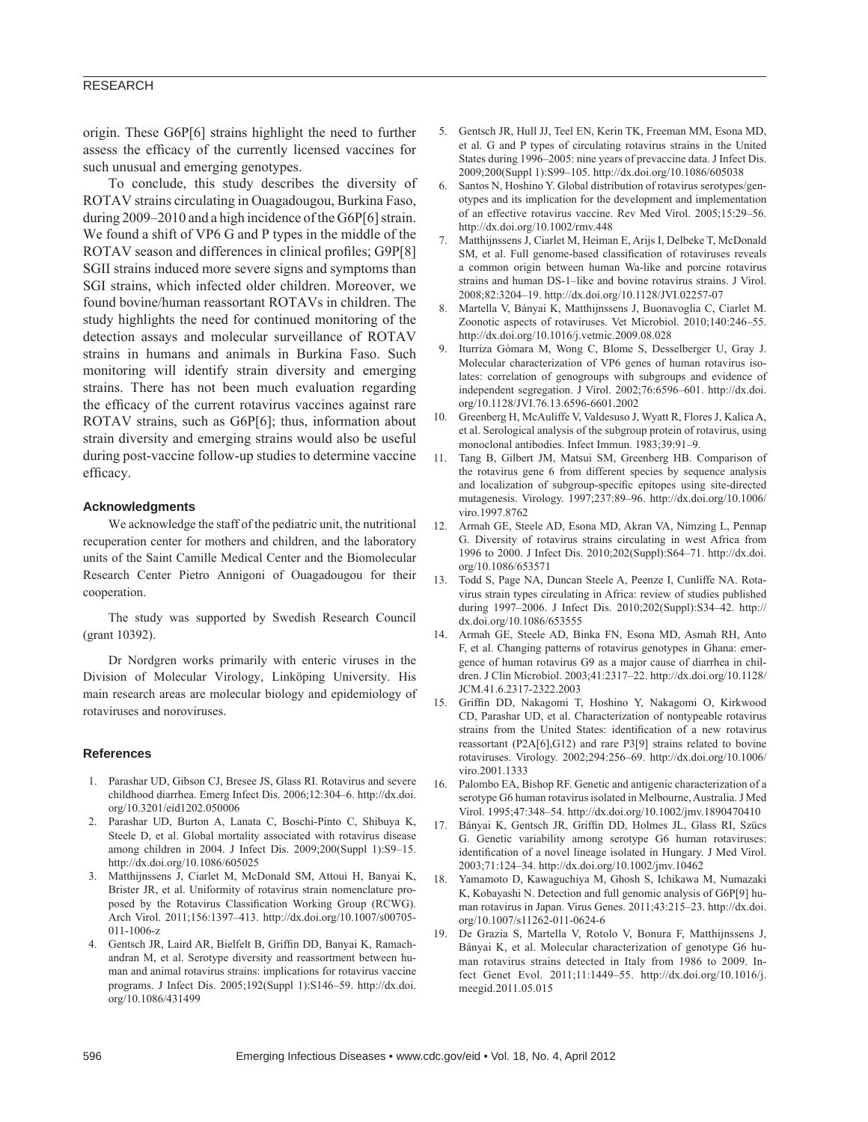origin. These G6P[6] strains highlight the need to further assess the efficacy of the currently licensed vaccines for such unusual and emerging genotypes.

To conclude, this study describes the diversity of ROTAV strains circulating in Ouagadougou, Burkina Faso, during 2009–2010 and a high incidence of the G6P[6] strain. We found a shift of VP6 G and P types in the middle of the ROTAV season and differences in clinical profiles; G9P[8] SGII strains induced more severe signs and symptoms than SGI strains, which infected older children. Moreover, we found bovine/human reassortant ROTAVs in children. The study highlights the need for continued monitoring of the detection assays and molecular surveillance of ROTAV strains in humans and animals in Burkina Faso. Such monitoring will identify strain diversity and emerging strains. There has not been much evaluation regarding the efficacy of the current rotavirus vaccines against rare ROTAV strains, such as G6P[6]; thus, information about strain diversity and emerging strains would also be useful during post-vaccine follow-up studies to determine vaccine efficacy.

#### **Acknowledgments**

We acknowledge the staff of the pediatric unit, the nutritional recuperation center for mothers and children, and the laboratory units of the Saint Camille Medical Center and the Biomolecular Research Center Pietro Annigoni of Ouagadougou for their cooperation.

The study was supported by Swedish Research Council (grant 10392).

Dr Nordgren works primarily with enteric viruses in the Division of Molecular Virology, Linköping University. His main research areas are molecular biology and epidemiology of rotaviruses and noroviruses.

#### **References**

- 1. Parashar UD, Gibson CJ, Bresee JS, Glass RI. Rotavirus and severe childhood diarrhea. Emerg Infect Dis. 2006;12:304–6. http://dx.doi. org/10.3201/eid1202.050006
- 2. Parashar UD, Burton A, Lanata C, Boschi-Pinto C, Shibuya K, Steele D, et al. Global mortality associated with rotavirus disease among children in 2004. J Infect Dis. 2009;200(Suppl 1):S9–15. http://dx.doi.org/10.1086/605025
- 3. Matthijnssens J, Ciarlet M, McDonald SM, Attoui H, Banyai K, Brister JR, et al. Uniformity of rotavirus strain nomenclature proposed by the Rotavirus Classification Working Group (RCWG). Arch Virol. 2011;156:1397–413. http://dx.doi.org/10.1007/s00705- 011-1006-z
- 4. Gentsch JR, Laird AR, Bielfelt B, Griffin DD, Banyai K, Ramachandran M, et al. Serotype diversity and reassortment between human and animal rotavirus strains: implications for rotavirus vaccine programs. J Infect Dis. 2005;192(Suppl 1):S146–59. http://dx.doi. org/10.1086/431499
- 5. Gentsch JR, Hull JJ, Teel EN, Kerin TK, Freeman MM, Esona MD, et al. G and P types of circulating rotavirus strains in the United States during 1996–2005: nine years of prevaccine data. J Infect Dis. 2009;200(Suppl 1):S99–105. http://dx.doi.org/10.1086/605038
- 6. Santos N, Hoshino Y. Global distribution of rotavirus serotypes/genotypes and its implication for the development and implementation of an effective rotavirus vaccine. Rev Med Virol. 2005;15:29–56. http://dx.doi.org/10.1002/rmv.448
- 7. Matthijnssens J, Ciarlet M, Heiman E, Arijs I, Delbeke T, McDonald SM, et al. Full genome-based classification of rotaviruses reveals a common origin between human Wa-like and porcine rotavirus strains and human DS-1–like and bovine rotavirus strains. J Virol. 2008;82:3204–19. http://dx.doi.org/10.1128/JVI.02257-07
- 8. Martella V, Bányai K, Matthijnssens J, Buonavoglia C, Ciarlet M. Zoonotic aspects of rotaviruses. Vet Microbiol. 2010;140:246–55. http://dx.doi.org/10.1016/j.vetmic.2009.08.028
- 9. Iturriza Gómara M, Wong C, Blome S, Desselberger U, Gray J. Molecular characterization of VP6 genes of human rotavirus isolates: correlation of genogroups with subgroups and evidence of independent segregation. J Virol. 2002;76:6596–601. http://dx.doi. org/10.1128/JVI.76.13.6596-6601.2002
- 10. Greenberg H, McAuliffe V, Valdesuso J, Wyatt R, Flores J, Kalica A, et al. Serological analysis of the subgroup protein of rotavirus, using monoclonal antibodies. Infect Immun. 1983;39:91–9.
- 11. Tang B, Gilbert JM, Matsui SM, Greenberg HB. Comparison of the rotavirus gene 6 from different species by sequence analysis and localization of subgroup-specific epitopes using site-directed mutagenesis. Virology. 1997;237:89–96. http://dx.doi.org/10.1006/ viro.1997.8762
- 12. Armah GE, Steele AD, Esona MD, Akran VA, Nimzing L, Pennap G. Diversity of rotavirus strains circulating in west Africa from 1996 to 2000. J Infect Dis. 2010;202(Suppl):S64–71. http://dx.doi. org/10.1086/653571
- 13. Todd S, Page NA, Duncan Steele A, Peenze I, Cunliffe NA. Rotavirus strain types circulating in Africa: review of studies published during 1997–2006. J Infect Dis. 2010;202(Suppl):S34–42. http:// dx.doi.org/10.1086/653555
- 14. Armah GE, Steele AD, Binka FN, Esona MD, Asmah RH, Anto F, et al. Changing patterns of rotavirus genotypes in Ghana: emergence of human rotavirus G9 as a major cause of diarrhea in children. J Clin Microbiol. 2003;41:2317–22. http://dx.doi.org/10.1128/ JCM.41.6.2317-2322.2003
- 15. Griffin DD, Nakagomi T, Hoshino Y, Nakagomi O, Kirkwood CD, Parashar UD, et al. Characterization of nontypeable rotavirus strains from the United States: identification of a new rotavirus reassortant (P2A[6],G12) and rare P3[9] strains related to bovine rotaviruses. Virology. 2002;294:256–69. http://dx.doi.org/10.1006/ viro.2001.1333
- 16. Palombo EA, Bishop RF. Genetic and antigenic characterization of a serotype G6 human rotavirus isolated in Melbourne, Australia. J Med Virol. 1995;47:348–54. http://dx.doi.org/10.1002/jmv.1890470410
- 17. Bányai K, Gentsch JR, Griffin DD, Holmes JL, Glass RI, Szücs G. Genetic variability among serotype G6 human rotaviruses: identification of a novel lineage isolated in Hungary. J Med Virol. 2003;71:124–34. http://dx.doi.org/10.1002/jmv.10462
- 18. Yamamoto D, Kawaguchiya M, Ghosh S, Ichikawa M, Numazaki K, Kobayashi N. Detection and full genomic analysis of G6P[9] human rotavirus in Japan. Virus Genes. 2011;43:215–23. http://dx.doi. org/10.1007/s11262-011-0624-6
- 19. De Grazia S, Martella V, Rotolo V, Bonura F, Matthijnssens J, Bányai K, et al. Molecular characterization of genotype G6 human rotavirus strains detected in Italy from 1986 to 2009. Infect Genet Evol. 2011;11:1449–55. http://dx.doi.org/10.1016/j. meegid.2011.05.015